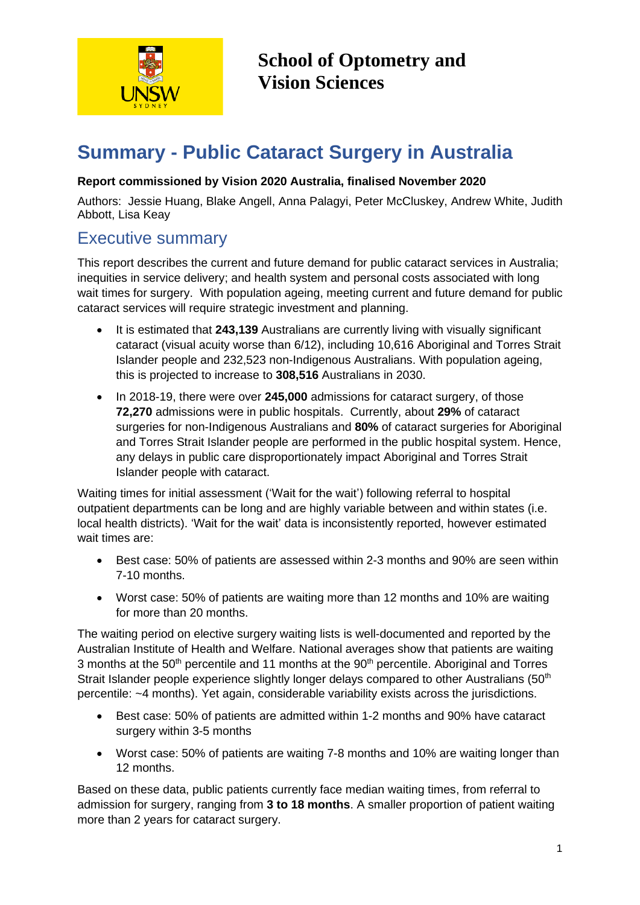

**School of Optometry and Vision Sciences**

# **Summary - Public Cataract Surgery in Australia**

#### **Report commissioned by Vision 2020 Australia, finalised November 2020**

Authors: Jessie Huang, Blake Angell, Anna Palagyi, Peter McCluskey, Andrew White, Judith Abbott, Lisa Keay

### Executive summary

This report describes the current and future demand for public cataract services in Australia; inequities in service delivery; and health system and personal costs associated with long wait times for surgery. With population ageing, meeting current and future demand for public cataract services will require strategic investment and planning.

- It is estimated that **243,139** Australians are currently living with visually significant cataract (visual acuity worse than 6/12), including 10,616 Aboriginal and Torres Strait Islander people and 232,523 non-Indigenous Australians. With population ageing, this is projected to increase to **308,516** Australians in 2030.
- In 2018-19, there were over **245,000** admissions for cataract surgery, of those **72,270** admissions were in public hospitals. Currently, about **29%** of cataract surgeries for non-Indigenous Australians and **80%** of cataract surgeries for Aboriginal and Torres Strait Islander people are performed in the public hospital system. Hence, any delays in public care disproportionately impact Aboriginal and Torres Strait Islander people with cataract.

Waiting times for initial assessment ('Wait for the wait') following referral to hospital outpatient departments can be long and are highly variable between and within states (i.e. local health districts). 'Wait for the wait' data is inconsistently reported, however estimated wait times are:

- Best case: 50% of patients are assessed within 2-3 months and 90% are seen within 7-10 months.
- Worst case: 50% of patients are waiting more than 12 months and 10% are waiting for more than 20 months.

The waiting period on elective surgery waiting lists is well-documented and reported by the Australian Institute of Health and Welfare. National averages show that patients are waiting 3 months at the  $50<sup>th</sup>$  percentile and 11 months at the  $90<sup>th</sup>$  percentile. Aboriginal and Torres Strait Islander people experience slightly longer delays compared to other Australians (50<sup>th</sup>) percentile: ~4 months). Yet again, considerable variability exists across the jurisdictions.

- Best case: 50% of patients are admitted within 1-2 months and 90% have cataract surgery within 3-5 months
- Worst case: 50% of patients are waiting 7-8 months and 10% are waiting longer than 12 months.

Based on these data, public patients currently face median waiting times, from referral to admission for surgery, ranging from **3 to 18 months**. A smaller proportion of patient waiting more than 2 years for cataract surgery.